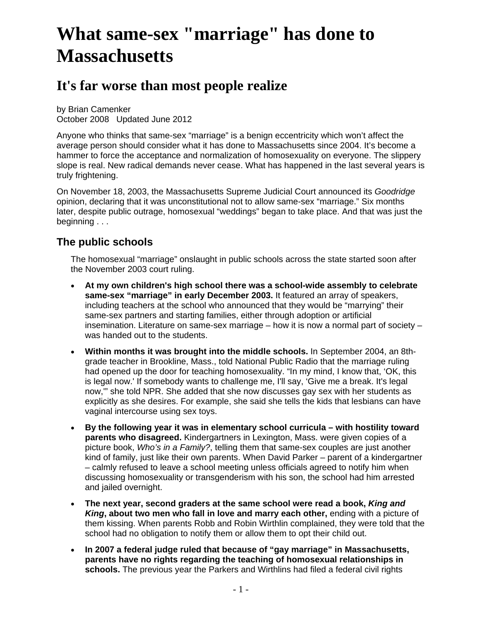# **What same-sex "marriage" has done to Massachusetts**

## **It's far worse than most people realize**

by Brian Camenker October 2008 Updated June 2012

Anyone who thinks that same-sex "marriage" is a benign eccentricity which won't affect the average person should consider what it has done to Massachusetts since 2004. It's become a hammer to force the acceptance and normalization of homosexuality on everyone. The slippery slope is real. New radical demands never cease. What has happened in the last several years is truly frightening.

On November 18, 2003, the Massachusetts Supreme Judicial Court announced its *Goodridge* opinion, declaring that it was unconstitutional not to allow same-sex "marriage." Six months later, despite public outrage, homosexual "weddings" began to take place. And that was just the beginning . . .

#### **The public schools**

The homosexual "marriage" onslaught in public schools across the state started soon after the November 2003 court ruling.

- **At my own children's high school there was a school-wide assembly to celebrate same-sex "marriage" in early December 2003.** It featured an array of speakers, including teachers at the school who announced that they would be "marrying" their same-sex partners and starting families, either through adoption or artificial insemination. Literature on same-sex marriage – how it is now a normal part of society – was handed out to the students.
- **Within months it was brought into the middle schools.** In September 2004, an 8thgrade teacher in Brookline, Mass., told National Public Radio that the marriage ruling had opened up the door for teaching homosexuality. "In my mind, I know that, 'OK, this is legal now.' If somebody wants to challenge me, I'll say, 'Give me a break. It's legal now,'" she told NPR. She added that she now discusses gay sex with her students as explicitly as she desires. For example, she said she tells the kids that lesbians can have vaginal intercourse using sex toys.
- **By the following year it was in elementary school curricula with hostility toward parents who disagreed.** Kindergartners in Lexington, Mass. were given copies of a picture book, *Who's in a Family?*, telling them that same-sex couples are just another kind of family, just like their own parents. When David Parker – parent of a kindergartner – calmly refused to leave a school meeting unless officials agreed to notify him when discussing homosexuality or transgenderism with his son, the school had him arrested and jailed overnight.
- **The next year, second graders at the same school were read a book,** *King and King***, about two men who fall in love and marry each other,** ending with a picture of them kissing. When parents Robb and Robin Wirthlin complained, they were told that the school had no obligation to notify them or allow them to opt their child out.
- **In 2007 a federal judge ruled that because of "gay marriage" in Massachusetts, parents have no rights regarding the teaching of homosexual relationships in schools.** The previous year the Parkers and Wirthlins had filed a federal civil rights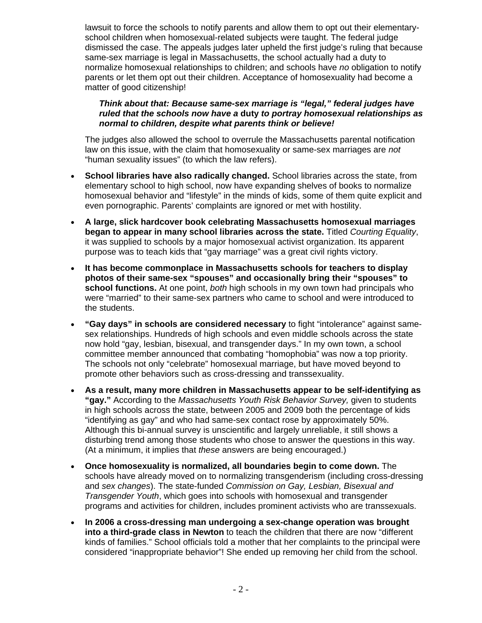lawsuit to force the schools to notify parents and allow them to opt out their elementaryschool children when homosexual-related subjects were taught. The federal judge dismissed the case. The appeals judges later upheld the first judge's ruling that because same-sex marriage is legal in Massachusetts, the school actually had a duty to normalize homosexual relationships to children; and schools have *no* obligation to notify parents or let them opt out their children. Acceptance of homosexuality had become a matter of good citizenship!

#### *Think about that: Because same-sex marriage is "legal," federal judges have ruled that the schools now have a* **duty** *to portray homosexual relationships as normal to children, despite what parents think or believe!*

The judges also allowed the school to overrule the Massachusetts parental notification law on this issue, with the claim that homosexuality or same-sex marriages are *not* "human sexuality issues" (to which the law refers).

- **School libraries have also radically changed.** School libraries across the state, from elementary school to high school, now have expanding shelves of books to normalize homosexual behavior and "lifestyle" in the minds of kids, some of them quite explicit and even pornographic. Parents' complaints are ignored or met with hostility.
- **A large, slick hardcover book celebrating Massachusetts homosexual marriages began to appear in many school libraries across the state.** Titled *Courting Equality*, it was supplied to schools by a major homosexual activist organization. Its apparent purpose was to teach kids that "gay marriage" was a great civil rights victory.
- **It has become commonplace in Massachusetts schools for teachers to display photos of their same-sex "spouses" and occasionally bring their "spouses" to school functions.** At one point, *both* high schools in my own town had principals who were "married" to their same-sex partners who came to school and were introduced to the students.
- **"Gay days" in schools are considered necessary** to fight "intolerance" against samesex relationships. Hundreds of high schools and even middle schools across the state now hold "gay, lesbian, bisexual, and transgender days." In my own town, a school committee member announced that combating "homophobia" was now a top priority. The schools not only "celebrate" homosexual marriage, but have moved beyond to promote other behaviors such as cross-dressing and transsexuality.
- **As a result, many more children in Massachusetts appear to be self-identifying as "gay."** According to the *Massachusetts Youth Risk Behavior Survey,* given to students in high schools across the state, between 2005 and 2009 both the percentage of kids "identifying as gay" and who had same-sex contact rose by approximately 50%. Although this bi-annual survey is unscientific and largely unreliable, it still shows a disturbing trend among those students who chose to answer the questions in this way. (At a minimum, it implies that *these* answers are being encouraged.)
- **Once homosexuality is normalized, all boundaries begin to come down.** The schools have already moved on to normalizing transgenderism (including cross-dressing and *sex changes*). The state-funded *Commission on Gay, Lesbian, Bisexual and Transgender Youth*, which goes into schools with homosexual and transgender programs and activities for children, includes prominent activists who are transsexuals.
- **In 2006 a cross-dressing man undergoing a sex-change operation was brought into a third-grade class in Newton** to teach the children that there are now "different kinds of families." School officials told a mother that her complaints to the principal were considered "inappropriate behavior"! She ended up removing her child from the school.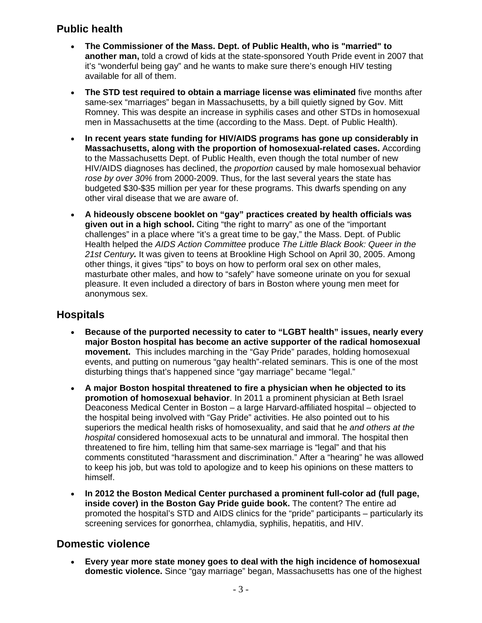### **Public health**

- **The Commissioner of the Mass. Dept. of Public Health, who is "married" to another man,** told a crowd of kids at the state-sponsored Youth Pride event in 2007 that it's "wonderful being gay" and he wants to make sure there's enough HIV testing available for all of them.
- **The STD test required to obtain a marriage license was eliminated** five months after same-sex "marriages" began in Massachusetts, by a bill quietly signed by Gov. Mitt Romney. This was despite an increase in syphilis cases and other STDs in homosexual men in Massachusetts at the time (according to the Mass. Dept. of Public Health).
- **In recent years state funding for HIV/AIDS programs has gone up considerably in Massachusetts, along with the proportion of homosexual-related cases.** According to the Massachusetts Dept. of Public Health, even though the total number of new HIV/AIDS diagnoses has declined, the *proportion* caused by male homosexual behavior *rose by over 30%* from 2000-2009. Thus, for the last several years the state has budgeted \$30-\$35 million per year for these programs. This dwarfs spending on any other viral disease that we are aware of.
- **A hideously obscene booklet on "gay" practices created by health officials was given out in a high school.** Citing "the right to marry" as one of the "important challenges" in a place where "it's a great time to be gay," the Mass. Dept. of Public Health helped the *AIDS Action Committee* produce *The Little Black Book: Queer in the 21st Century.* It was given to teens at Brookline High School on April 30, 2005. Among other things, it gives "tips" to boys on how to perform oral sex on other males, masturbate other males, and how to "safely" have someone urinate on you for sexual pleasure. It even included a directory of bars in Boston where young men meet for anonymous sex.

#### **Hospitals**

- **Because of the purported necessity to cater to "LGBT health" issues, nearly every major Boston hospital has become an active supporter of the radical homosexual movement.** This includes marching in the "Gay Pride" parades, holding homosexual events, and putting on numerous "gay health"-related seminars. This is one of the most disturbing things that's happened since "gay marriage" became "legal."
- **A major Boston hospital threatened to fire a physician when he objected to its promotion of homosexual behavior**. In 2011 a prominent physician at Beth Israel Deaconess Medical Center in Boston – a large Harvard-affiliated hospital – objected to the hospital being involved with "Gay Pride" activities. He also pointed out to his superiors the medical health risks of homosexuality, and said that he *and others at the hospital* considered homosexual acts to be unnatural and immoral. The hospital then threatened to fire him, telling him that same-sex marriage is "legal" and that his comments constituted "harassment and discrimination." After a "hearing" he was allowed to keep his job, but was told to apologize and to keep his opinions on these matters to himself.
- **In 2012 the Boston Medical Center purchased a prominent full-color ad (full page, inside cover) in the Boston Gay Pride guide book.** The content? The entire ad promoted the hospital's STD and AIDS clinics for the "pride" participants – particularly its screening services for gonorrhea, chlamydia, syphilis, hepatitis, and HIV.

#### **Domestic violence**

 **Every year more state money goes to deal with the high incidence of homosexual domestic violence.** Since "gay marriage" began, Massachusetts has one of the highest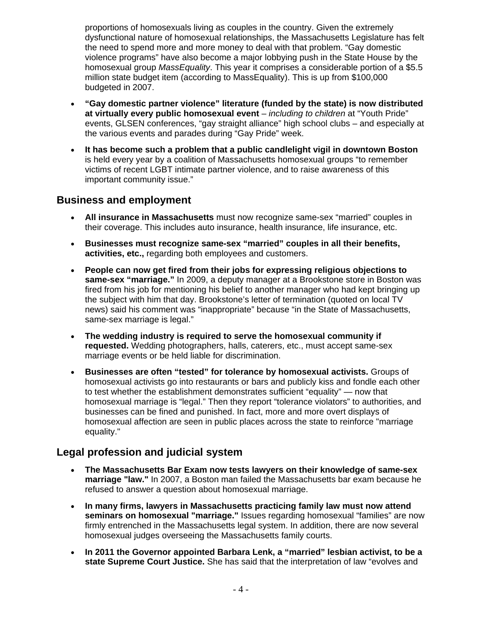proportions of homosexuals living as couples in the country. Given the extremely dysfunctional nature of homosexual relationships, the Massachusetts Legislature has felt the need to spend more and more money to deal with that problem. "Gay domestic violence programs" have also become a major lobbying push in the State House by the homosexual group *MassEquality*. This year it comprises a considerable portion of a \$5.5 million state budget item (according to MassEquality). This is up from \$100,000 budgeted in 2007.

- **"Gay domestic partner violence" literature (funded by the state) is now distributed at virtually every public homosexual event** – *including to children* at "Youth Pride" events, GLSEN conferences, "gay straight alliance" high school clubs – and especially at the various events and parades during "Gay Pride" week.
- **It has become such a problem that a public candlelight vigil in downtown Boston**  is held every year by a coalition of Massachusetts homosexual groups "to remember victims of recent LGBT intimate partner violence, and to raise awareness of this important community issue."

#### **Business and employment**

- **All insurance in Massachusetts** must now recognize same-sex "married" couples in their coverage. This includes auto insurance, health insurance, life insurance, etc.
- **Businesses must recognize same-sex "married" couples in all their benefits, activities, etc.,** regarding both employees and customers.
- **People can now get fired from their jobs for expressing religious objections to same-sex "marriage."** In 2009, a deputy manager at a Brookstone store in Boston was fired from his job for mentioning his belief to another manager who had kept bringing up the subject with him that day. Brookstone's letter of termination (quoted on local TV news) said his comment was "inappropriate" because "in the State of Massachusetts, same-sex marriage is legal."
- **The wedding industry is required to serve the homosexual community if requested.** Wedding photographers, halls, caterers, etc., must accept same-sex marriage events or be held liable for discrimination.
- **Businesses are often "tested" for tolerance by homosexual activists.** Groups of homosexual activists go into restaurants or bars and publicly kiss and fondle each other to test whether the establishment demonstrates sufficient "equality" — now that homosexual marriage is "legal." Then they report "tolerance violators" to authorities, and businesses can be fined and punished. In fact, more and more overt displays of homosexual affection are seen in public places across the state to reinforce "marriage equality."

#### **Legal profession and judicial system**

- **The Massachusetts Bar Exam now tests lawyers on their knowledge of same-sex marriage "law."** In 2007, a Boston man failed the Massachusetts bar exam because he refused to answer a question about homosexual marriage.
- **In many firms, lawyers in Massachusetts practicing family law must now attend seminars on homosexual "marriage."** Issues regarding homosexual "families" are now firmly entrenched in the Massachusetts legal system. In addition, there are now several homosexual judges overseeing the Massachusetts family courts.
- **In 2011 the Governor appointed Barbara Lenk, a "married" lesbian activist, to be a state Supreme Court Justice.** She has said that the interpretation of law "evolves and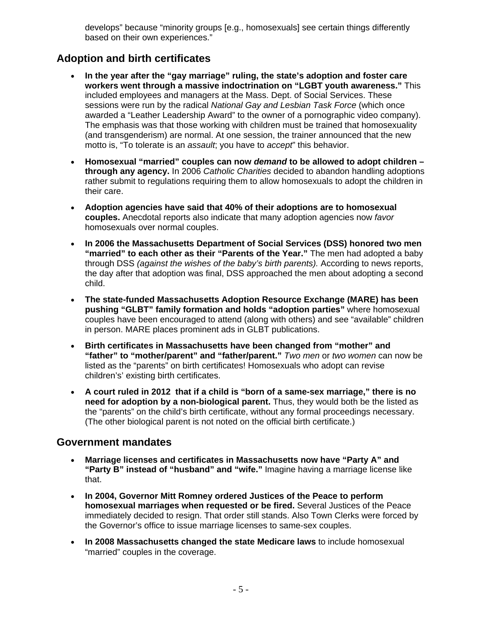develops" because "minority groups [e.g., homosexuals] see certain things differently based on their own experiences."

#### **Adoption and birth certificates**

- **In the year after the "gay marriage" ruling, the state's adoption and foster care workers went through a massive indoctrination on "LGBT youth awareness."** This included employees and managers at the Mass. Dept. of Social Services. These sessions were run by the radical *National Gay and Lesbian Task Force* (which once awarded a "Leather Leadership Award" to the owner of a pornographic video company). The emphasis was that those working with children must be trained that homosexuality (and transgenderism) are normal. At one session, the trainer announced that the new motto is, "To tolerate is an *assault*; you have to *accept*" this behavior.
- **Homosexual "married" couples can now** *demand* **to be allowed to adopt children through any agency.** In 2006 *Catholic Charities* decided to abandon handling adoptions rather submit to regulations requiring them to allow homosexuals to adopt the children in their care.
- **Adoption agencies have said that 40% of their adoptions are to homosexual couples.** Anecdotal reports also indicate that many adoption agencies now *favor* homosexuals over normal couples.
- **In 2006 the Massachusetts Department of Social Services (DSS) honored two men "married" to each other as their "Parents of the Year."** The men had adopted a baby through DSS *(against the wishes of the baby's birth parents).* According to news reports, the day after that adoption was final, DSS approached the men about adopting a second child.
- **The state-funded Massachusetts Adoption Resource Exchange (MARE) has been pushing "GLBT" family formation and holds "adoption parties"** where homosexual couples have been encouraged to attend (along with others) and see "available" children in person. MARE places prominent ads in GLBT publications.
- **Birth certificates in Massachusetts have been changed from "mother" and "father" to "mother/parent" and "father/parent."** *Two men* or *two women* can now be listed as the "parents" on birth certificates! Homosexuals who adopt can revise children's' existing birth certificates.
- **A court ruled in 2012 that if a child is "born of a same-sex marriage," there is no need for adoption by a non-biological parent.** Thus, they would both be the listed as the "parents" on the child's birth certificate, without any formal proceedings necessary. (The other biological parent is not noted on the official birth certificate.)

#### **Government mandates**

- **Marriage licenses and certificates in Massachusetts now have "Party A" and "Party B" instead of "husband" and "wife."** Imagine having a marriage license like that.
- **In 2004, Governor Mitt Romney ordered Justices of the Peace to perform homosexual marriages when requested or be fired.** Several Justices of the Peace immediately decided to resign. That order still stands. Also Town Clerks were forced by the Governor's office to issue marriage licenses to same-sex couples.
- **In 2008 Massachusetts changed the state Medicare laws** to include homosexual "married" couples in the coverage.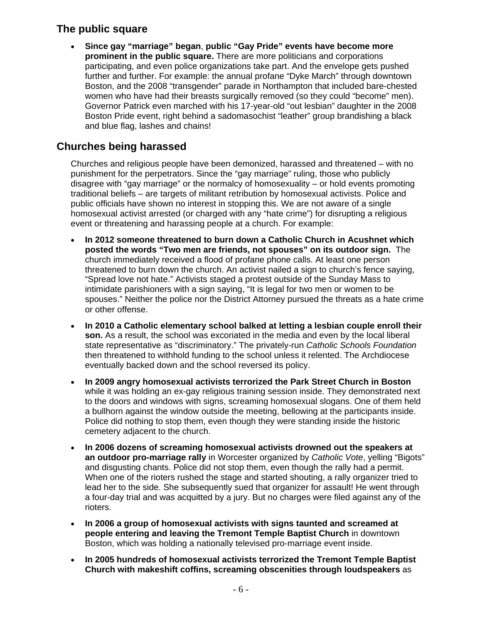#### **The public square**

 **Since gay "marriage" began**, **public "Gay Pride" events have become more prominent in the public square.** There are more politicians and corporations participating, and even police organizations take part. And the envelope gets pushed further and further. For example: the annual profane "Dyke March" through downtown Boston, and the 2008 "transgender" parade in Northampton that included bare-chested women who have had their breasts surgically removed (so they could "become" men). Governor Patrick even marched with his 17-year-old "out lesbian" daughter in the 2008 Boston Pride event, right behind a sadomasochist "leather" group brandishing a black and blue flag, lashes and chains!

#### **Churches being harassed**

Churches and religious people have been demonized, harassed and threatened – with no punishment for the perpetrators. Since the "gay marriage" ruling, those who publicly disagree with "gay marriage" or the normalcy of homosexuality – or hold events promoting traditional beliefs – are targets of militant retribution by homosexual activists. Police and public officials have shown no interest in stopping this. We are not aware of a single homosexual activist arrested (or charged with any "hate crime") for disrupting a religious event or threatening and harassing people at a church. For example:

- **In 2012 someone threatened to burn down a Catholic Church in Acushnet which posted the words "Two men are friends, not spouses" on its outdoor sign.** The church immediately received a flood of profane phone calls. At least one person threatened to burn down the church. An activist nailed a sign to church's fence saying, "Spread love not hate." Activists staged a protest outside of the Sunday Mass to intimidate parishioners with a sign saying, "It is legal for two men or women to be spouses." Neither the police nor the District Attorney pursued the threats as a hate crime or other offense.
- **In 2010 a Catholic elementary school balked at letting a lesbian couple enroll their son.** As a result, the school was excoriated in the media and even by the local liberal state representative as "discriminatory." The privately-run *Catholic Schools Foundation* then threatened to withhold funding to the school unless it relented. The Archdiocese eventually backed down and the school reversed its policy.
- **In 2009 angry homosexual activists terrorized the Park Street Church in Boston** while it was holding an ex-gay religious training session inside. They demonstrated next to the doors and windows with signs, screaming homosexual slogans. One of them held a bullhorn against the window outside the meeting, bellowing at the participants inside. Police did nothing to stop them, even though they were standing inside the historic cemetery adjacent to the church.
- **In 2006 dozens of screaming homosexual activists drowned out the speakers at an outdoor pro-marriage rally** in Worcester organized by *Catholic Vote*, yelling "Bigots" and disgusting chants. Police did not stop them, even though the rally had a permit. When one of the rioters rushed the stage and started shouting, a rally organizer tried to lead her to the side. She subsequently sued that organizer for assault! He went through a four-day trial and was acquitted by a jury. But no charges were filed against any of the rioters.
- **In 2006 a group of homosexual activists with signs taunted and screamed at people entering and leaving the Tremont Temple Baptist Church** in downtown Boston, which was holding a nationally televised pro-marriage event inside.
- **In 2005 hundreds of homosexual activists terrorized the Tremont Temple Baptist Church with makeshift coffins, screaming obscenities through loudspeakers** as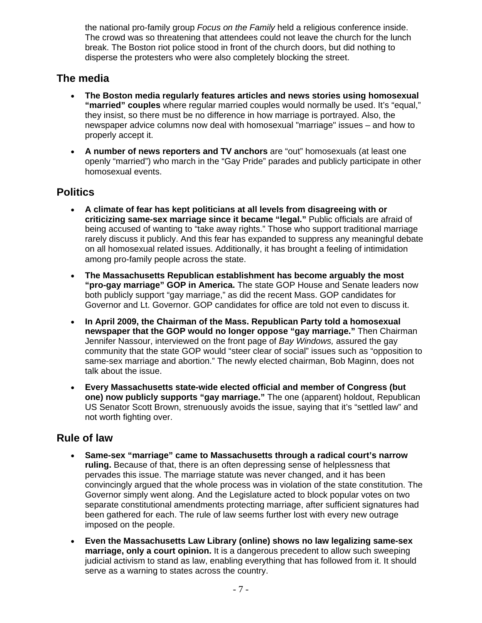the national pro-family group *Focus on the Family* held a religious conference inside. The crowd was so threatening that attendees could not leave the church for the lunch break. The Boston riot police stood in front of the church doors, but did nothing to disperse the protesters who were also completely blocking the street.

#### **The media**

- **The Boston media regularly features articles and news stories using homosexual "married" couples** where regular married couples would normally be used. It's "equal," they insist, so there must be no difference in how marriage is portrayed. Also, the newspaper advice columns now deal with homosexual "marriage" issues – and how to properly accept it.
- **A number of news reporters and TV anchors** are "out" homosexuals (at least one openly "married") who march in the "Gay Pride" parades and publicly participate in other homosexual events.

#### **Politics**

- **A climate of fear has kept politicians at all levels from disagreeing with or criticizing same-sex marriage since it became "legal."** Public officials are afraid of being accused of wanting to "take away rights." Those who support traditional marriage rarely discuss it publicly. And this fear has expanded to suppress any meaningful debate on all homosexual related issues. Additionally, it has brought a feeling of intimidation among pro-family people across the state.
- **The Massachusetts Republican establishment has become arguably the most "pro-gay marriage" GOP in America.** The state GOP House and Senate leaders now both publicly support "gay marriage," as did the recent Mass. GOP candidates for Governor and Lt. Governor. GOP candidates for office are told not even to discuss it.
- **In April 2009, the Chairman of the Mass. Republican Party told a homosexual newspaper that the GOP would no longer oppose "gay marriage."** Then Chairman Jennifer Nassour, interviewed on the front page of *Bay Windows,* assured the gay community that the state GOP would "steer clear of social" issues such as "opposition to same-sex marriage and abortion." The newly elected chairman, Bob Maginn, does not talk about the issue.
- **Every Massachusetts state-wide elected official and member of Congress (but one) now publicly supports "gay marriage."** The one (apparent) holdout, Republican US Senator Scott Brown, strenuously avoids the issue, saying that it's "settled law" and not worth fighting over.

#### **Rule of law**

- **Same-sex "marriage" came to Massachusetts through a radical court's narrow ruling.** Because of that, there is an often depressing sense of helplessness that pervades this issue. The marriage statute was never changed, and it has been convincingly argued that the whole process was in violation of the state constitution. The Governor simply went along. And the Legislature acted to block popular votes on two separate constitutional amendments protecting marriage, after sufficient signatures had been gathered for each. The rule of law seems further lost with every new outrage imposed on the people.
- **Even the Massachusetts Law Library (online) shows no law legalizing same-sex marriage, only a court opinion.** It is a dangerous precedent to allow such sweeping judicial activism to stand as law, enabling everything that has followed from it. It should serve as a warning to states across the country.